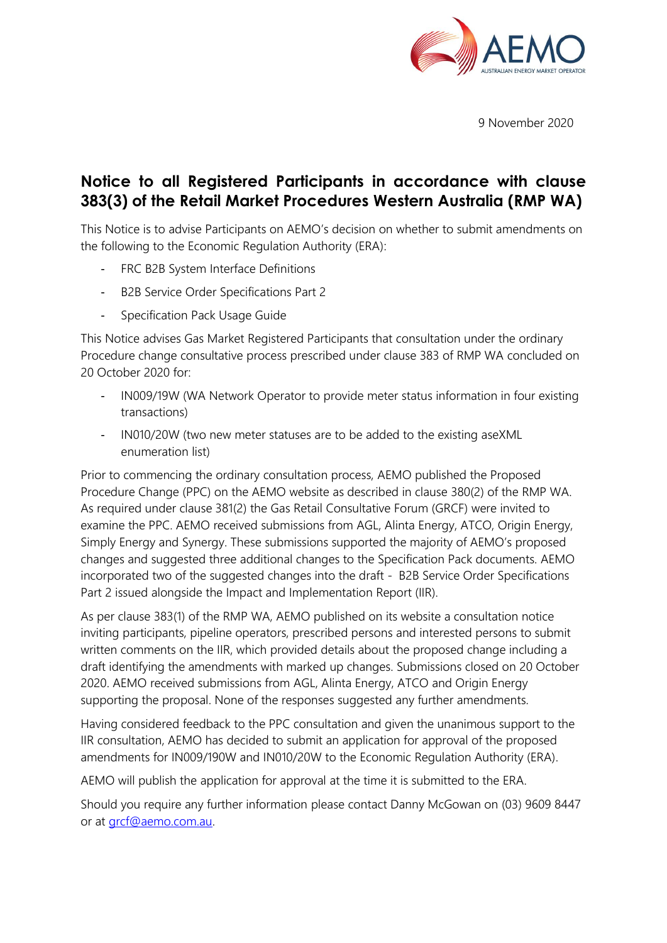

9 November 2020

## **Notice to all Registered Participants in accordance with clause 383(3) of the Retail Market Procedures Western Australia (RMP WA)**

This Notice is to advise Participants on AEMO's decision on whether to submit amendments on the following to the Economic Regulation Authority (ERA):

- FRC B2B System Interface Definitions
- B2B Service Order Specifications Part 2
- Specification Pack Usage Guide

This Notice advises Gas Market Registered Participants that consultation under the ordinary Procedure change consultative process prescribed under clause 383 of RMP WA concluded on 20 October 2020 for:

- IN009/19W (WA Network Operator to provide meter status information in four existing transactions)
- IN010/20W (two new meter statuses are to be added to the existing aseXML enumeration list)

Prior to commencing the ordinary consultation process, AEMO published the Proposed Procedure Change (PPC) on the AEMO website as described in clause 380(2) of the RMP WA. As required under clause 381(2) the Gas Retail Consultative Forum (GRCF) were invited to examine the PPC. AEMO received submissions from AGL, Alinta Energy, ATCO, Origin Energy, Simply Energy and Synergy. These submissions supported the majority of AEMO's proposed changes and suggested three additional changes to the Specification Pack documents. AEMO incorporated two of the suggested changes into the draft - B2B Service Order Specifications Part 2 issued alongside the Impact and Implementation Report (IIR).

As per clause 383(1) of the RMP WA, AEMO published on its website a consultation notice inviting participants, pipeline operators, prescribed persons and interested persons to submit written comments on the IIR, which provided details about the proposed change including a draft identifying the amendments with marked up changes. Submissions closed on 20 October 2020. AEMO received submissions from AGL, Alinta Energy, ATCO and Origin Energy supporting the proposal. None of the responses suggested any further amendments.

Having considered feedback to the PPC consultation and given the unanimous support to the IIR consultation, AEMO has decided to submit an application for approval of the proposed amendments for IN009/190W and IN010/20W to the Economic Regulation Authority (ERA).

AEMO will publish the application for approval at the time it is submitted to the ERA.

Should you require any further information please contact Danny McGowan on (03) 9609 8447 or at [grcf@aemo.com.au.](mailto:grcf@aemo.com.au)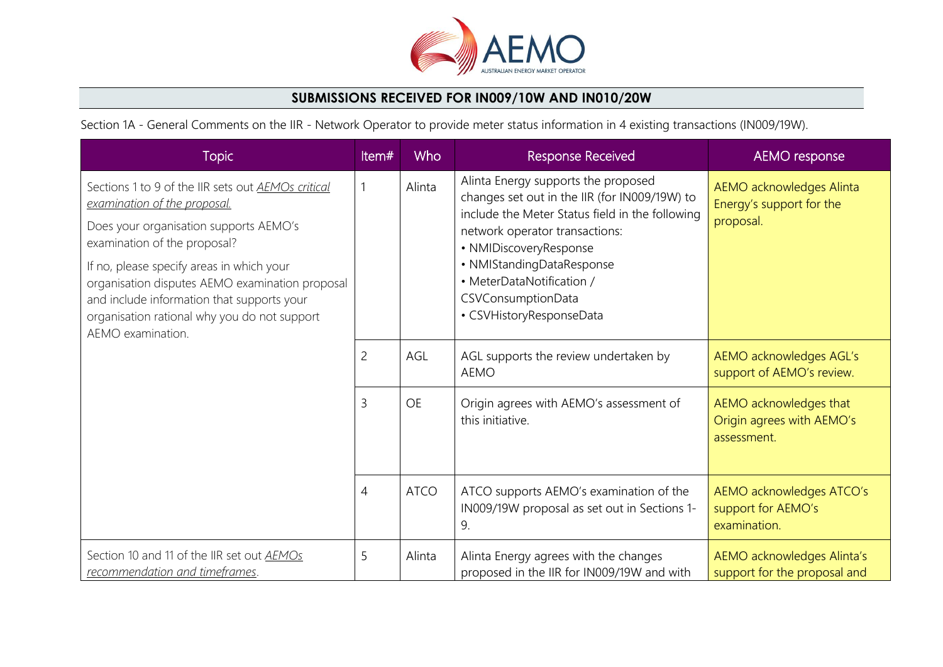

## **SUBMISSIONS RECEIVED FOR IN009/10W AND IN010/20W**

Section 1A - General Comments on the IIR - Network Operator to provide meter status information in 4 existing transactions (IN009/19W).

| <b>Topic</b>                                                                                                                                                                                                                                                                                                                                                                           | Item#          | Who         | <b>Response Received</b>                                                                                                                                                                                                                                                                                        | <b>AEMO</b> response                                                     |
|----------------------------------------------------------------------------------------------------------------------------------------------------------------------------------------------------------------------------------------------------------------------------------------------------------------------------------------------------------------------------------------|----------------|-------------|-----------------------------------------------------------------------------------------------------------------------------------------------------------------------------------------------------------------------------------------------------------------------------------------------------------------|--------------------------------------------------------------------------|
| Sections 1 to 9 of the IIR sets out <b>AEMOs</b> critical<br>examination of the proposal.<br>Does your organisation supports AEMO's<br>examination of the proposal?<br>If no, please specify areas in which your<br>organisation disputes AEMO examination proposal<br>and include information that supports your<br>organisation rational why you do not support<br>AEMO examination. |                | Alinta      | Alinta Energy supports the proposed<br>changes set out in the IIR (for IN009/19W) to<br>include the Meter Status field in the following<br>network operator transactions:<br>• NMIDiscoveryResponse<br>• NMIStandingDataResponse<br>• MeterDataNotification /<br>CSVConsumptionData<br>• CSVHistoryResponseData | <b>AEMO</b> acknowledges Alinta<br>Energy's support for the<br>proposal. |
|                                                                                                                                                                                                                                                                                                                                                                                        | $\overline{c}$ | AGL         | AGL supports the review undertaken by<br><b>AEMO</b>                                                                                                                                                                                                                                                            | AEMO acknowledges AGL's<br>support of AEMO's review.                     |
|                                                                                                                                                                                                                                                                                                                                                                                        | $\overline{3}$ | <b>OE</b>   | Origin agrees with AEMO's assessment of<br>this initiative.                                                                                                                                                                                                                                                     | AEMO acknowledges that<br>Origin agrees with AEMO's<br>assessment.       |
|                                                                                                                                                                                                                                                                                                                                                                                        | $\overline{4}$ | <b>ATCO</b> | ATCO supports AEMO's examination of the<br>IN009/19W proposal as set out in Sections 1-<br>9.                                                                                                                                                                                                                   | AEMO acknowledges ATCO's<br>support for AEMO's<br>examination.           |
| Section 10 and 11 of the IIR set out <b>AEMOs</b><br>recommendation and timeframes.                                                                                                                                                                                                                                                                                                    | 5              | Alinta      | Alinta Energy agrees with the changes<br>proposed in the IIR for IN009/19W and with                                                                                                                                                                                                                             | AEMO acknowledges Alinta's<br>support for the proposal and               |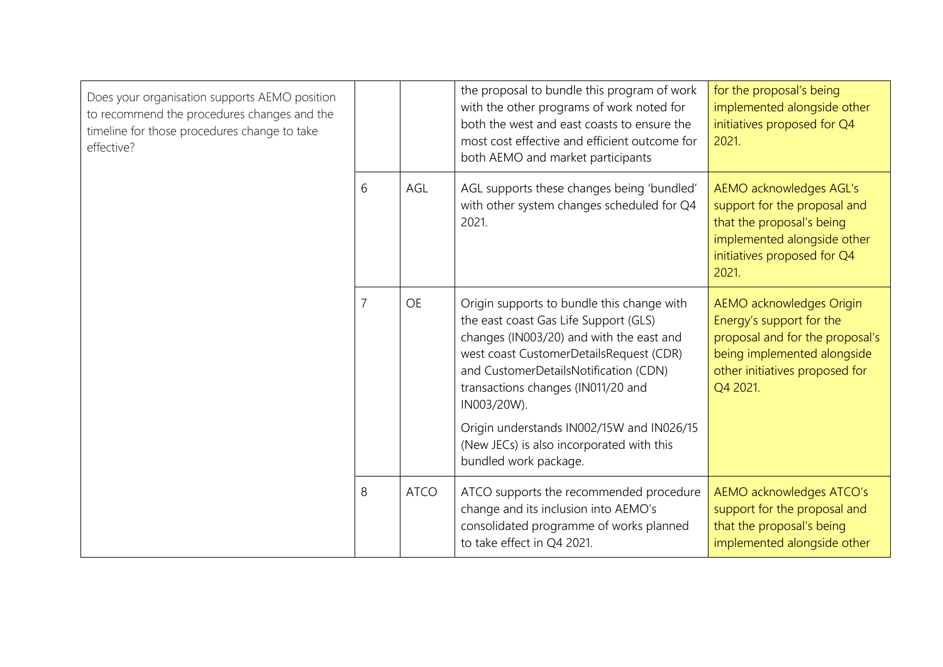| Does your organisation supports AEMO position<br>to recommend the procedures changes and the<br>timeline for those procedures change to take<br>effective? |                |             | the proposal to bundle this program of work<br>with the other programs of work noted for<br>both the west and east coasts to ensure the<br>most cost effective and efficient outcome for<br>both AEMO and market participants                                                                                                                                                               | for the proposal's being<br>implemented alongside other<br>initiatives proposed for Q4<br>2021.                                                                      |
|------------------------------------------------------------------------------------------------------------------------------------------------------------|----------------|-------------|---------------------------------------------------------------------------------------------------------------------------------------------------------------------------------------------------------------------------------------------------------------------------------------------------------------------------------------------------------------------------------------------|----------------------------------------------------------------------------------------------------------------------------------------------------------------------|
|                                                                                                                                                            | 6              | AGL         | AGL supports these changes being 'bundled'<br>with other system changes scheduled for Q4<br>2021.                                                                                                                                                                                                                                                                                           | AEMO acknowledges AGL's<br>support for the proposal and<br>that the proposal's being<br>implemented alongside other<br>initiatives proposed for Q4<br>2021.          |
|                                                                                                                                                            | $\overline{7}$ | <b>OE</b>   | Origin supports to bundle this change with<br>the east coast Gas Life Support (GLS)<br>changes (IN003/20) and with the east and<br>west coast CustomerDetailsRequest (CDR)<br>and CustomerDetailsNotification (CDN)<br>transactions changes (IN011/20 and<br>IN003/20W).<br>Origin understands IN002/15W and IN026/15<br>(New JECs) is also incorporated with this<br>bundled work package. | AEMO acknowledges Origin<br>Energy's support for the<br>proposal and for the proposal's<br>being implemented alongside<br>other initiatives proposed for<br>Q4 2021. |
|                                                                                                                                                            | 8              | <b>ATCO</b> | ATCO supports the recommended procedure<br>change and its inclusion into AEMO's<br>consolidated programme of works planned<br>to take effect in Q4 2021.                                                                                                                                                                                                                                    | AEMO acknowledges ATCO's<br>support for the proposal and<br>that the proposal's being<br>implemented alongside other                                                 |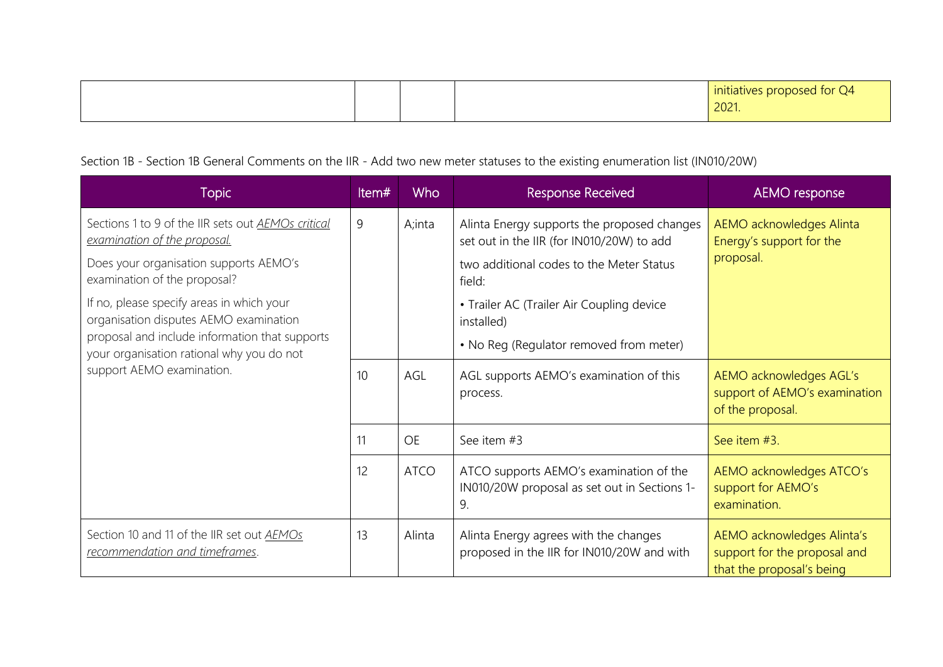|  |  | $\mid$ initiatives proposed for Q4 |
|--|--|------------------------------------|
|  |  | 2021.                              |

## Section 1B - Section 1B General Comments on the IIR - Add two new meter statuses to the existing enumeration list (IN010/20W)

| <b>Topic</b>                                                                                                                                                                                                                                                                                                                                                                    | Item $#$ | Who         | <b>Response Received</b>                                                                                                                                                                    | <b>AEMO</b> response                                                                    |
|---------------------------------------------------------------------------------------------------------------------------------------------------------------------------------------------------------------------------------------------------------------------------------------------------------------------------------------------------------------------------------|----------|-------------|---------------------------------------------------------------------------------------------------------------------------------------------------------------------------------------------|-----------------------------------------------------------------------------------------|
| Sections 1 to 9 of the IIR sets out AEMOs critical<br>examination of the proposal.<br>Does your organisation supports AEMO's<br>examination of the proposal?<br>If no, please specify areas in which your<br>organisation disputes AEMO examination<br>proposal and include information that supports<br>your organisation rational why you do not<br>support AEMO examination. | 9        | A;inta      | Alinta Energy supports the proposed changes<br>set out in the IIR (for IN010/20W) to add<br>two additional codes to the Meter Status<br>field:<br>• Trailer AC (Trailer Air Coupling device | <b>AEMO</b> acknowledges Alinta<br>Energy's support for the<br>proposal.                |
|                                                                                                                                                                                                                                                                                                                                                                                 |          |             | installed)<br>• No Reg (Regulator removed from meter)                                                                                                                                       |                                                                                         |
|                                                                                                                                                                                                                                                                                                                                                                                 | 10       | AGL         | AGL supports AEMO's examination of this<br>process.                                                                                                                                         | AEMO acknowledges AGL's<br>support of AEMO's examination<br>of the proposal.            |
|                                                                                                                                                                                                                                                                                                                                                                                 | 11       | <b>OE</b>   | See item #3                                                                                                                                                                                 | See item #3.                                                                            |
|                                                                                                                                                                                                                                                                                                                                                                                 | 12       | <b>ATCO</b> | ATCO supports AEMO's examination of the<br>IN010/20W proposal as set out in Sections 1-<br>9.                                                                                               | AEMO acknowledges ATCO's<br>support for AEMO's<br>examination.                          |
| Section 10 and 11 of the IIR set out AEMOs<br>recommendation and timeframes.                                                                                                                                                                                                                                                                                                    | 13       | Alinta      | Alinta Energy agrees with the changes<br>proposed in the IIR for IN010/20W and with                                                                                                         | AEMO acknowledges Alinta's<br>support for the proposal and<br>that the proposal's being |